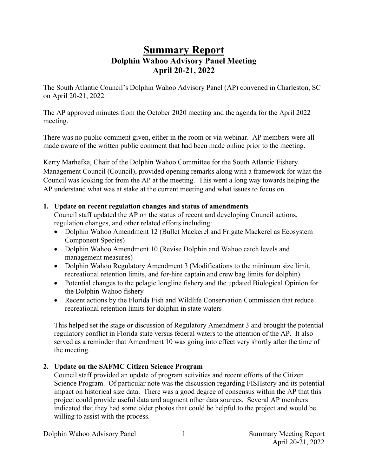# **Summary Report Dolphin Wahoo Advisory Panel Meeting April 20-21, 2022**

The South Atlantic Council's Dolphin Wahoo Advisory Panel (AP) convened in Charleston, SC on April 20-21, 2022.

The AP approved minutes from the October 2020 meeting and the agenda for the April 2022 meeting.

There was no public comment given, either in the room or via webinar. AP members were all made aware of the written public comment that had been made online prior to the meeting.

Kerry Marhefka, Chair of the Dolphin Wahoo Committee for the South Atlantic Fishery Management Council (Council), provided opening remarks along with a framework for what the Council was looking for from the AP at the meeting. This went a long way towards helping the AP understand what was at stake at the current meeting and what issues to focus on.

#### **1. Update on recent regulation changes and status of amendments**

Council staff updated the AP on the status of recent and developing Council actions, regulation changes, and other related efforts including:

- Dolphin Wahoo Amendment 12 (Bullet Mackerel and Frigate Mackerel as Ecosystem Component Species)
- Dolphin Wahoo Amendment 10 (Revise Dolphin and Wahoo catch levels and management measures)
- Dolphin Wahoo Regulatory Amendment 3 (Modifications to the minimum size limit, recreational retention limits, and for-hire captain and crew bag limits for dolphin)
- Potential changes to the pelagic longline fishery and the updated Biological Opinion for the Dolphin Wahoo fishery
- Recent actions by the Florida Fish and Wildlife Conservation Commission that reduce recreational retention limits for dolphin in state waters

This helped set the stage or discussion of Regulatory Amendment 3 and brought the potential regulatory conflict in Florida state versus federal waters to the attention of the AP. It also served as a reminder that Amendment 10 was going into effect very shortly after the time of the meeting.

### **2. Update on the SAFMC Citizen Science Program**

Council staff provided an update of program activities and recent efforts of the Citizen Science Program. Of particular note was the discussion regarding FISHstory and its potential impact on historical size data. There was a good degree of consensus within the AP that this project could provide useful data and augment other data sources. Several AP members indicated that they had some older photos that could be helpful to the project and would be willing to assist with the process.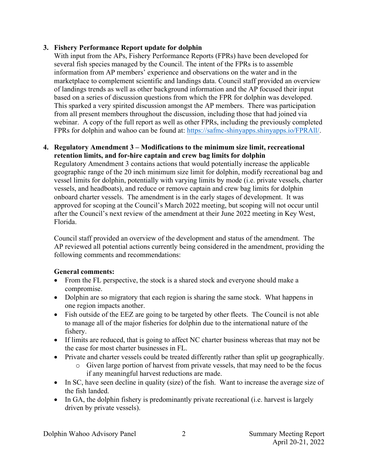#### **3. Fishery Performance Report update for dolphin**

With input from the APs, Fishery Performance Reports (FPRs) have been developed for several fish species managed by the Council. The intent of the FPRs is to assemble information from AP members' experience and observations on the water and in the marketplace to complement scientific and landings data. Council staff provided an overview of landings trends as well as other background information and the AP focused their input based on a series of discussion questions from which the FPR for dolphin was developed. This sparked a very spirited discussion amongst the AP members. There was participation from all present members throughout the discussion, including those that had joined via webinar. A copy of the full report as well as other FPRs, including the previously completed FPRs for dolphin and wahoo can be found at: [https://safmc-shinyapps.shinyapps.io/FPRAll/.](https://safmc-shinyapps.shinyapps.io/FPRAll/)

#### **4. Regulatory Amendment 3 – Modifications to the minimum size limit, recreational retention limits, and for-hire captain and crew bag limits for dolphin**

Regulatory Amendment 3 contains actions that would potentially increase the applicable geographic range of the 20 inch minimum size limit for dolphin, modify recreational bag and vessel limits for dolphin, potentially with varying limits by mode (i.e. private vessels, charter vessels, and headboats), and reduce or remove captain and crew bag limits for dolphin onboard charter vessels. The amendment is in the early stages of development. It was approved for scoping at the Council's March 2022 meeting, but scoping will not occur until after the Council's next review of the amendment at their June 2022 meeting in Key West, Florida.

Council staff provided an overview of the development and status of the amendment. The AP reviewed all potential actions currently being considered in the amendment, providing the following comments and recommendations:

### **General comments:**

- From the FL perspective, the stock is a shared stock and everyone should make a compromise.
- Dolphin are so migratory that each region is sharing the same stock. What happens in one region impacts another.
- Fish outside of the EEZ are going to be targeted by other fleets. The Council is not able to manage all of the major fisheries for dolphin due to the international nature of the fishery.
- If limits are reduced, that is going to affect NC charter business whereas that may not be the case for most charter businesses in FL.
- Private and charter vessels could be treated differently rather than split up geographically.
	- o Given large portion of harvest from private vessels, that may need to be the focus if any meaningful harvest reductions are made.
- In SC, have seen decline in quality (size) of the fish. Want to increase the average size of the fish landed.
- In GA, the dolphin fishery is predominantly private recreational (i.e. harvest is largely driven by private vessels).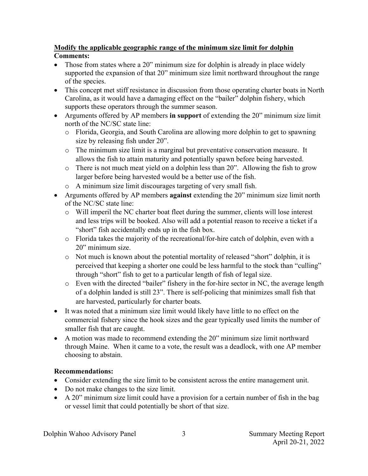### **Modify the applicable geographic range of the minimum size limit for dolphin Comments:**

- Those from states where a 20" minimum size for dolphin is already in place widely supported the expansion of that 20" minimum size limit northward throughout the range of the species.
- This concept met stiff resistance in discussion from those operating charter boats in North Carolina, as it would have a damaging effect on the "bailer" dolphin fishery, which supports these operators through the summer season.
- Arguments offered by AP members **in support** of extending the 20" minimum size limit north of the NC/SC state line:
	- o Florida, Georgia, and South Carolina are allowing more dolphin to get to spawning size by releasing fish under 20".
	- o The minimum size limit is a marginal but preventative conservation measure. It allows the fish to attain maturity and potentially spawn before being harvested.
	- o There is not much meat yield on a dolphin less than 20". Allowing the fish to grow larger before being harvested would be a better use of the fish.
	- o A minimum size limit discourages targeting of very small fish.
- Arguments offered by AP members **against** extending the 20" minimum size limit north of the NC/SC state line:
	- $\circ$  Will imperil the NC charter boat fleet during the summer, clients will lose interest and less trips will be booked. Also will add a potential reason to receive a ticket if a "short" fish accidentally ends up in the fish box.
	- o Florida takes the majority of the recreational/for-hire catch of dolphin, even with a 20" minimum size.
	- o Not much is known about the potential mortality of released "short" dolphin, it is perceived that keeping a shorter one could be less harmful to the stock than "culling" through "short" fish to get to a particular length of fish of legal size.
	- o Even with the directed "bailer" fishery in the for-hire sector in NC, the average length of a dolphin landed is still 23". There is self-policing that minimizes small fish that are harvested, particularly for charter boats.
- It was noted that a minimum size limit would likely have little to no effect on the commercial fishery since the hook sizes and the gear typically used limits the number of smaller fish that are caught.
- A motion was made to recommend extending the 20" minimum size limit northward through Maine. When it came to a vote, the result was a deadlock, with one AP member choosing to abstain.

## **Recommendations:**

- Consider extending the size limit to be consistent across the entire management unit.
- Do not make changes to the size limit.
- A 20" minimum size limit could have a provision for a certain number of fish in the bag or vessel limit that could potentially be short of that size.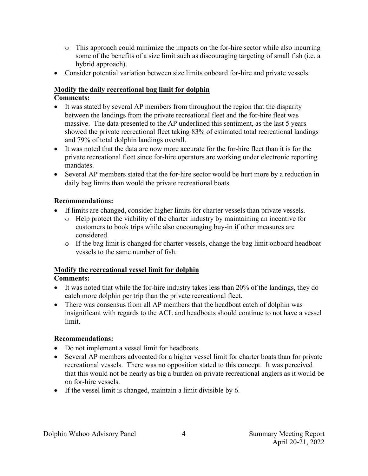- o This approach could minimize the impacts on the for-hire sector while also incurring some of the benefits of a size limit such as discouraging targeting of small fish (i.e. a hybrid approach).
- Consider potential variation between size limits onboard for-hire and private vessels.

### **Modify the daily recreational bag limit for dolphin**

### **Comments:**

- It was stated by several AP members from throughout the region that the disparity between the landings from the private recreational fleet and the for-hire fleet was massive. The data presented to the AP underlined this sentiment, as the last 5 years showed the private recreational fleet taking 83% of estimated total recreational landings and 79% of total dolphin landings overall.
- It was noted that the data are now more accurate for the for-hire fleet than it is for the private recreational fleet since for-hire operators are working under electronic reporting mandates.
- Several AP members stated that the for-hire sector would be hurt more by a reduction in daily bag limits than would the private recreational boats.

### **Recommendations:**

- If limits are changed, consider higher limits for charter vessels than private vessels.
	- o Help protect the viability of the charter industry by maintaining an incentive for customers to book trips while also encouraging buy-in if other measures are considered.
	- $\circ$  If the bag limit is changed for charter vessels, change the bag limit onboard headboat vessels to the same number of fish.

### **Modify the recreational vessel limit for dolphin**

#### **Comments:**

- It was noted that while the for-hire industry takes less than 20% of the landings, they do catch more dolphin per trip than the private recreational fleet.
- There was consensus from all AP members that the headboat catch of dolphin was insignificant with regards to the ACL and headboats should continue to not have a vessel limit.

### **Recommendations:**

- Do not implement a vessel limit for headboats.
- Several AP members advocated for a higher vessel limit for charter boats than for private recreational vessels. There was no opposition stated to this concept. It was perceived that this would not be nearly as big a burden on private recreational anglers as it would be on for-hire vessels.
- If the vessel limit is changed, maintain a limit divisible by 6.